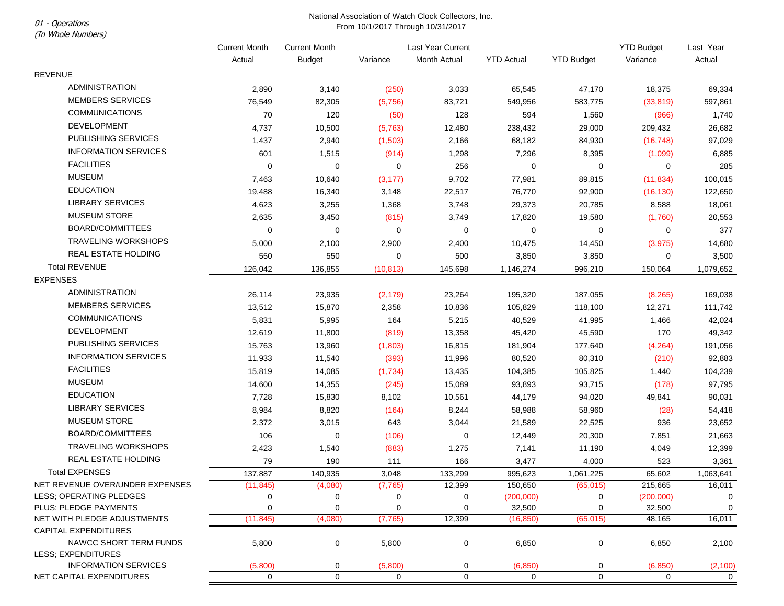## National Association of Watch Clock Collectors, Inc. From 10/1/2017 Through 10/31/2017<br>From 10/1/2017 Through 10/31/2017

(In Whole Numbers)

|                                                       | <b>Current Month</b> | <b>Current Month</b> |             | Last Year Current |                   |                   | <b>YTD Budget</b> | Last Year<br>Actual |
|-------------------------------------------------------|----------------------|----------------------|-------------|-------------------|-------------------|-------------------|-------------------|---------------------|
|                                                       | Actual               | <b>Budget</b>        | Variance    | Month Actual      | <b>YTD Actual</b> | <b>YTD Budget</b> | Variance          |                     |
| <b>REVENUE</b>                                        |                      |                      |             |                   |                   |                   |                   |                     |
| <b>ADMINISTRATION</b>                                 | 2,890                | 3,140                | (250)       | 3,033             | 65,545            | 47,170            | 18,375            | 69,334              |
| <b>MEMBERS SERVICES</b>                               | 76,549               | 82,305               | (5,756)     | 83,721            | 549,956           | 583,775           | (33, 819)         | 597,861             |
| <b>COMMUNICATIONS</b>                                 | 70                   | 120                  | (50)        | 128               | 594               | 1,560             | (966)             | 1,740               |
| <b>DEVELOPMENT</b>                                    | 4,737                | 10,500               | (5,763)     | 12,480            | 238,432           | 29,000            | 209,432           | 26,682              |
| PUBLISHING SERVICES                                   | 1,437                | 2,940                | (1,503)     | 2,166             | 68,182            | 84,930            | (16, 748)         | 97,029              |
| <b>INFORMATION SERVICES</b>                           | 601                  | 1,515                | (914)       | 1,298             | 7,296             | 8,395             | (1,099)           | 6,885               |
| <b>FACILITIES</b>                                     | $\pmb{0}$            | $\pmb{0}$            | 0           | 256               | $\mathbf 0$       | $\mathbf 0$       | 0                 | 285                 |
| <b>MUSEUM</b>                                         | 7,463                | 10,640               | (3, 177)    | 9,702             | 77,981            | 89,815            | (11, 834)         | 100,015             |
| <b>EDUCATION</b>                                      | 19,488               | 16,340               | 3,148       | 22,517            | 76,770            | 92,900            | (16, 130)         | 122,650             |
| <b>LIBRARY SERVICES</b>                               | 4,623                | 3,255                | 1,368       | 3,748             | 29,373            | 20,785            | 8,588             | 18,061              |
| <b>MUSEUM STORE</b>                                   | 2,635                | 3,450                | (815)       | 3,749             | 17,820            | 19,580            | (1,760)           | 20,553              |
| BOARD/COMMITTEES                                      | 0                    | $\pmb{0}$            | 0           | 0                 | 0                 | 0                 | 0                 | 377                 |
| <b>TRAVELING WORKSHOPS</b>                            | 5,000                | 2,100                | 2,900       | 2,400             | 10,475            | 14,450            | (3, 975)          | 14,680              |
| <b>REAL ESTATE HOLDING</b>                            | 550                  | 550                  | 0           | 500               | 3,850             | 3,850             | 0                 | 3,500               |
| <b>Total REVENUE</b>                                  | 126,042              | 136,855              | (10, 813)   | 145,698           | 1,146,274         | 996,210           | 150,064           | 1,079,652           |
| <b>EXPENSES</b>                                       |                      |                      |             |                   |                   |                   |                   |                     |
| <b>ADMINISTRATION</b>                                 | 26,114               | 23,935               | (2, 179)    | 23,264            | 195,320           | 187,055           | (8, 265)          | 169,038             |
| <b>MEMBERS SERVICES</b>                               | 13,512               | 15,870               | 2,358       | 10,836            | 105,829           | 118,100           | 12,271            | 111,742             |
| <b>COMMUNICATIONS</b>                                 | 5,831                | 5,995                | 164         | 5,215             | 40,529            | 41,995            | 1,466             | 42,024              |
| <b>DEVELOPMENT</b>                                    | 12,619               | 11,800               | (819)       | 13,358            | 45,420            | 45,590            | 170               | 49,342              |
| PUBLISHING SERVICES                                   | 15,763               | 13,960               | (1,803)     | 16,815            | 181,904           | 177,640           | (4, 264)          | 191,056             |
| <b>INFORMATION SERVICES</b>                           | 11,933               | 11,540               | (393)       | 11,996            | 80,520            | 80,310            | (210)             | 92,883              |
| <b>FACILITIES</b>                                     | 15,819               | 14,085               | (1,734)     | 13,435            | 104,385           | 105,825           | 1,440             | 104,239             |
| <b>MUSEUM</b>                                         | 14,600               | 14,355               | (245)       | 15,089            | 93,893            | 93,715            | (178)             | 97,795              |
| <b>EDUCATION</b>                                      | 7,728                | 15,830               | 8,102       | 10,561            | 44,179            | 94,020            | 49,841            | 90,031              |
| <b>LIBRARY SERVICES</b>                               | 8,984                | 8,820                | (164)       | 8,244             | 58,988            | 58,960            | (28)              | 54,418              |
| <b>MUSEUM STORE</b>                                   | 2,372                | 3,015                | 643         | 3,044             | 21,589            | 22,525            | 936               | 23,652              |
| BOARD/COMMITTEES                                      | 106                  | 0                    | (106)       | 0                 | 12,449            | 20,300            | 7,851             | 21,663              |
| <b>TRAVELING WORKSHOPS</b>                            | 2,423                | 1,540                | (883)       | 1,275             | 7,141             | 11,190            | 4,049             | 12,399              |
| <b>REAL ESTATE HOLDING</b>                            | 79                   | 190                  | 111         | 166               | 3,477             | 4,000             | 523               | 3,361               |
| <b>Total EXPENSES</b>                                 | 137,887              | 140,935              | 3,048       | 133,299           | 995,623           | 1,061,225         | 65,602            | 1,063,641           |
| NET REVENUE OVER/UNDER EXPENSES                       | (11, 845)            | (4,080)              | (7, 765)    | 12,399            | 150,650           | (65, 015)         | 215,665           | 16,011              |
| LESS; OPERATING PLEDGES                               | 0                    | 0                    | 0           | 0                 | (200,000)         | 0                 | (200,000)         | 0                   |
| PLUS: PLEDGE PAYMENTS                                 | 0                    | 0                    | 0           | 0                 | 32,500            | 0                 | 32,500            | 0                   |
| NET WITH PLEDGE ADJUSTMENTS                           | (11, 845)            | (4,080)              | (7, 765)    | 12,399            | (16, 850)         | (65, 015)         | 48,165            | 16,011              |
| <b>CAPITAL EXPENDITURES</b><br>NAWCC SHORT TERM FUNDS |                      |                      |             | 0                 |                   |                   |                   |                     |
| LESS; EXPENDITURES                                    | 5,800                | 0                    | 5,800       |                   | 6,850             | 0                 | 6,850             | 2,100               |
| <b>INFORMATION SERVICES</b>                           | (5,800)              | 0                    | (5,800)     | 0                 | (6, 850)          | 0                 | (6, 850)          | (2, 100)            |
| NET CAPITAL EXPENDITURES                              | $\mathbf 0$          | 0                    | $\mathbf 0$ | $\mathbf 0$       | 0                 | 0                 | $\mathbf 0$       | $\overline{0}$      |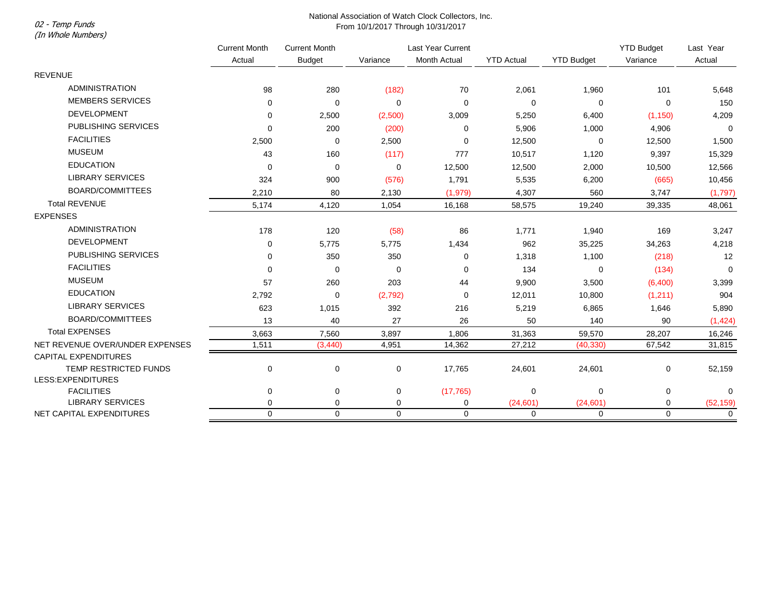(In Whole Numbers)

## National Association of Watch Clock Collectors, Inc. 02 - Temp Funds<br>From 10/1/2017 Through 10/31/2017

|                                 | <b>Current Month</b><br>Actual | <b>Current Month</b><br><b>Budget</b> | Last Year Current |              |                   |                   | <b>YTD Budget</b> | Last Year   |
|---------------------------------|--------------------------------|---------------------------------------|-------------------|--------------|-------------------|-------------------|-------------------|-------------|
|                                 |                                |                                       | Variance          | Month Actual | <b>YTD Actual</b> | <b>YTD Budget</b> | Variance          | Actual      |
| <b>REVENUE</b>                  |                                |                                       |                   |              |                   |                   |                   |             |
| <b>ADMINISTRATION</b>           | 98                             | 280                                   | (182)             | 70           | 2,061             | 1,960             | 101               | 5,648       |
| <b>MEMBERS SERVICES</b>         | $\mathbf 0$                    | $\mathbf 0$                           | $\Omega$          | 0            | $\mathbf 0$       | 0                 | $\mathbf 0$       | 150         |
| <b>DEVELOPMENT</b>              | 0                              | 2,500                                 | (2,500)           | 3,009        | 5,250             | 6,400             | (1, 150)          | 4,209       |
| PUBLISHING SERVICES             | $\Omega$                       | 200                                   | (200)             | 0            | 5,906             | 1,000             | 4,906             | $\Omega$    |
| <b>FACILITIES</b>               | 2,500                          | 0                                     | 2,500             | 0            | 12,500            | 0                 | 12,500            | 1,500       |
| <b>MUSEUM</b>                   | 43                             | 160                                   | (117)             | 777          | 10,517            | 1,120             | 9,397             | 15,329      |
| <b>EDUCATION</b>                | $\mathbf 0$                    | $\mathbf 0$                           | 0                 | 12,500       | 12,500            | 2,000             | 10,500            | 12,566      |
| <b>LIBRARY SERVICES</b>         | 324                            | 900                                   | (576)             | 1,791        | 5,535             | 6,200             | (665)             | 10,456      |
| <b>BOARD/COMMITTEES</b>         | 2,210                          | 80                                    | 2,130             | (1,979)      | 4,307             | 560               | 3,747             | (1,797)     |
| <b>Total REVENUE</b>            | 5,174                          | 4,120                                 | 1,054             | 16,168       | 58,575            | 19,240            | 39,335            | 48,061      |
| <b>EXPENSES</b>                 |                                |                                       |                   |              |                   |                   |                   |             |
| <b>ADMINISTRATION</b>           | 178                            | 120                                   | (58)              | 86           | 1,771             | 1,940             | 169               | 3,247       |
| <b>DEVELOPMENT</b>              | 0                              | 5,775                                 | 5,775             | 1,434        | 962               | 35,225            | 34,263            | 4,218       |
| <b>PUBLISHING SERVICES</b>      | 0                              | 350                                   | 350               | 0            | 1,318             | 1,100             | (218)             | 12          |
| <b>FACILITIES</b>               | 0                              | 0                                     | $\Omega$          | 0            | 134               | 0                 | (134)             | $\Omega$    |
| <b>MUSEUM</b>                   | 57                             | 260                                   | 203               | 44           | 9,900             | 3,500             | (6,400)           | 3,399       |
| <b>EDUCATION</b>                | 2,792                          | 0                                     | (2,792)           | 0            | 12,011            | 10,800            | (1,211)           | 904         |
| <b>LIBRARY SERVICES</b>         | 623                            | 1,015                                 | 392               | 216          | 5,219             | 6,865             | 1,646             | 5,890       |
| <b>BOARD/COMMITTEES</b>         | 13                             | 40                                    | 27                | 26           | 50                | 140               | 90                | (1, 424)    |
| <b>Total EXPENSES</b>           | 3,663                          | 7,560                                 | 3,897             | 1,806        | 31,363            | 59,570            | 28,207            | 16,246      |
| NET REVENUE OVER/UNDER EXPENSES | 1,511                          | (3, 440)                              | 4,951             | 14,362       | 27,212            | (40, 330)         | 67,542            | 31,815      |
| <b>CAPITAL EXPENDITURES</b>     |                                |                                       |                   |              |                   |                   |                   |             |
| TEMP RESTRICTED FUNDS           | $\pmb{0}$                      | 0                                     | $\mathbf 0$       | 17,765       | 24,601            | 24,601            | 0                 | 52,159      |
| LESS:EXPENDITURES               |                                |                                       |                   |              |                   |                   |                   |             |
| <b>FACILITIES</b>               | 0                              | 0                                     | 0                 | (17, 765)    | 0                 | 0                 | 0                 | 0           |
| <b>LIBRARY SERVICES</b>         | 0                              | 0                                     | 0                 | 0            | (24, 601)         | (24, 601)         | 0                 | (52, 159)   |
| NET CAPITAL EXPENDITURES        | $\Omega$                       | $\mathbf 0$                           | $\Omega$          | 0            | $\mathbf 0$       | $\mathbf 0$       | $\Omega$          | $\mathbf 0$ |